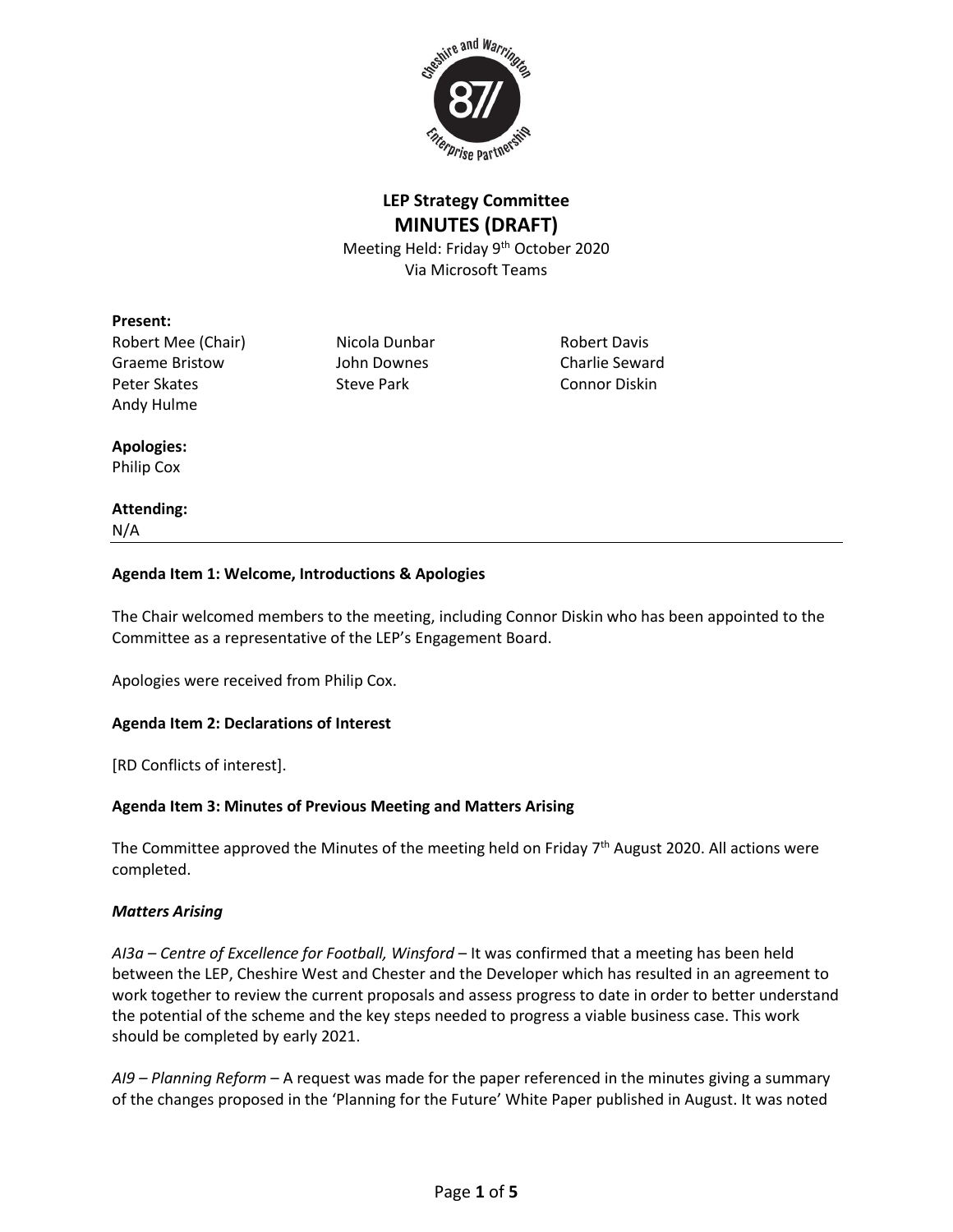

## **LEP Strategy Committee MINUTES (DRAFT)**

Meeting Held: Friday 9<sup>th</sup> October 2020 Via Microsoft Teams

#### **Present:**

Robert Mee (Chair) Micola Dunbar Robert Davis Graeme Bristow John Downes Charlie Seward Peter Skates Steve Park Connor Diskin Andy Hulme

#### **Apologies:** Philip Cox

# **Attending:**

N/A

## **Agenda Item 1: Welcome, Introductions & Apologies**

The Chair welcomed members to the meeting, including Connor Diskin who has been appointed to the Committee as a representative of the LEP's Engagement Board.

Apologies were received from Philip Cox.

## **Agenda Item 2: Declarations of Interest**

[RD Conflicts of interest].

## **Agenda Item 3: Minutes of Previous Meeting and Matters Arising**

The Committee approved the Minutes of the meeting held on Friday 7<sup>th</sup> August 2020. All actions were completed.

## *Matters Arising*

*AI3a – Centre of Excellence for Football, Winsford* – It was confirmed that a meeting has been held between the LEP, Cheshire West and Chester and the Developer which has resulted in an agreement to work together to review the current proposals and assess progress to date in order to better understand the potential of the scheme and the key steps needed to progress a viable business case. This work should be completed by early 2021.

*AI9 – Planning Reform* – A request was made for the paper referenced in the minutes giving a summary of the changes proposed in the 'Planning for the Future' White Paper published in August. It was noted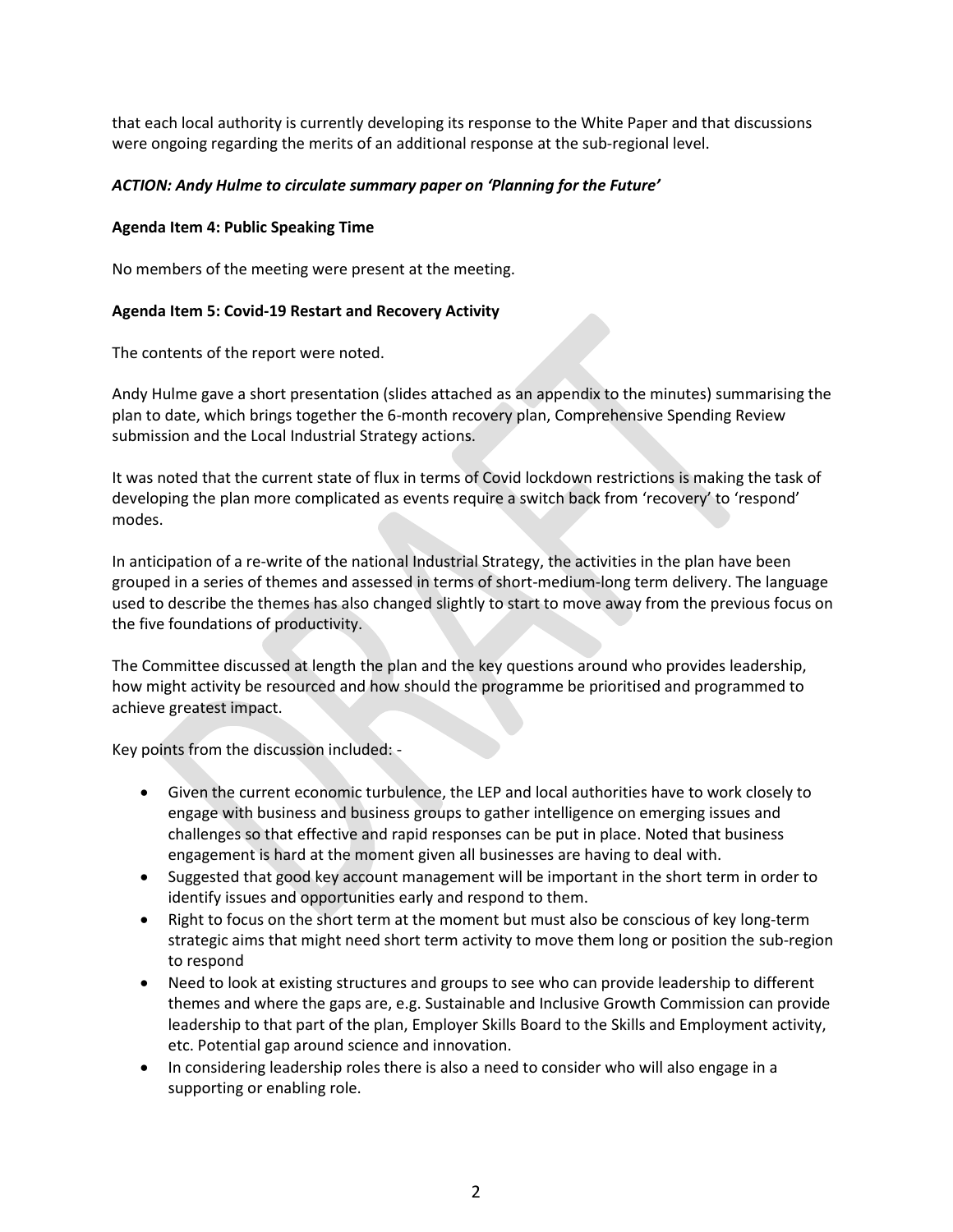that each local authority is currently developing its response to the White Paper and that discussions were ongoing regarding the merits of an additional response at the sub-regional level.

#### *ACTION: Andy Hulme to circulate summary paper on 'Planning for the Future'*

#### **Agenda Item 4: Public Speaking Time**

No members of the meeting were present at the meeting.

#### **Agenda Item 5: Covid-19 Restart and Recovery Activity**

The contents of the report were noted.

Andy Hulme gave a short presentation (slides attached as an appendix to the minutes) summarising the plan to date, which brings together the 6-month recovery plan, Comprehensive Spending Review submission and the Local Industrial Strategy actions.

It was noted that the current state of flux in terms of Covid lockdown restrictions is making the task of developing the plan more complicated as events require a switch back from 'recovery' to 'respond' modes.

In anticipation of a re-write of the national Industrial Strategy, the activities in the plan have been grouped in a series of themes and assessed in terms of short-medium-long term delivery. The language used to describe the themes has also changed slightly to start to move away from the previous focus on the five foundations of productivity.

The Committee discussed at length the plan and the key questions around who provides leadership, how might activity be resourced and how should the programme be prioritised and programmed to achieve greatest impact.

Key points from the discussion included: -

- Given the current economic turbulence, the LEP and local authorities have to work closely to engage with business and business groups to gather intelligence on emerging issues and challenges so that effective and rapid responses can be put in place. Noted that business engagement is hard at the moment given all businesses are having to deal with.
- Suggested that good key account management will be important in the short term in order to identify issues and opportunities early and respond to them.
- Right to focus on the short term at the moment but must also be conscious of key long-term strategic aims that might need short term activity to move them long or position the sub-region to respond
- Need to look at existing structures and groups to see who can provide leadership to different themes and where the gaps are, e.g. Sustainable and Inclusive Growth Commission can provide leadership to that part of the plan, Employer Skills Board to the Skills and Employment activity, etc. Potential gap around science and innovation.
- In considering leadership roles there is also a need to consider who will also engage in a supporting or enabling role.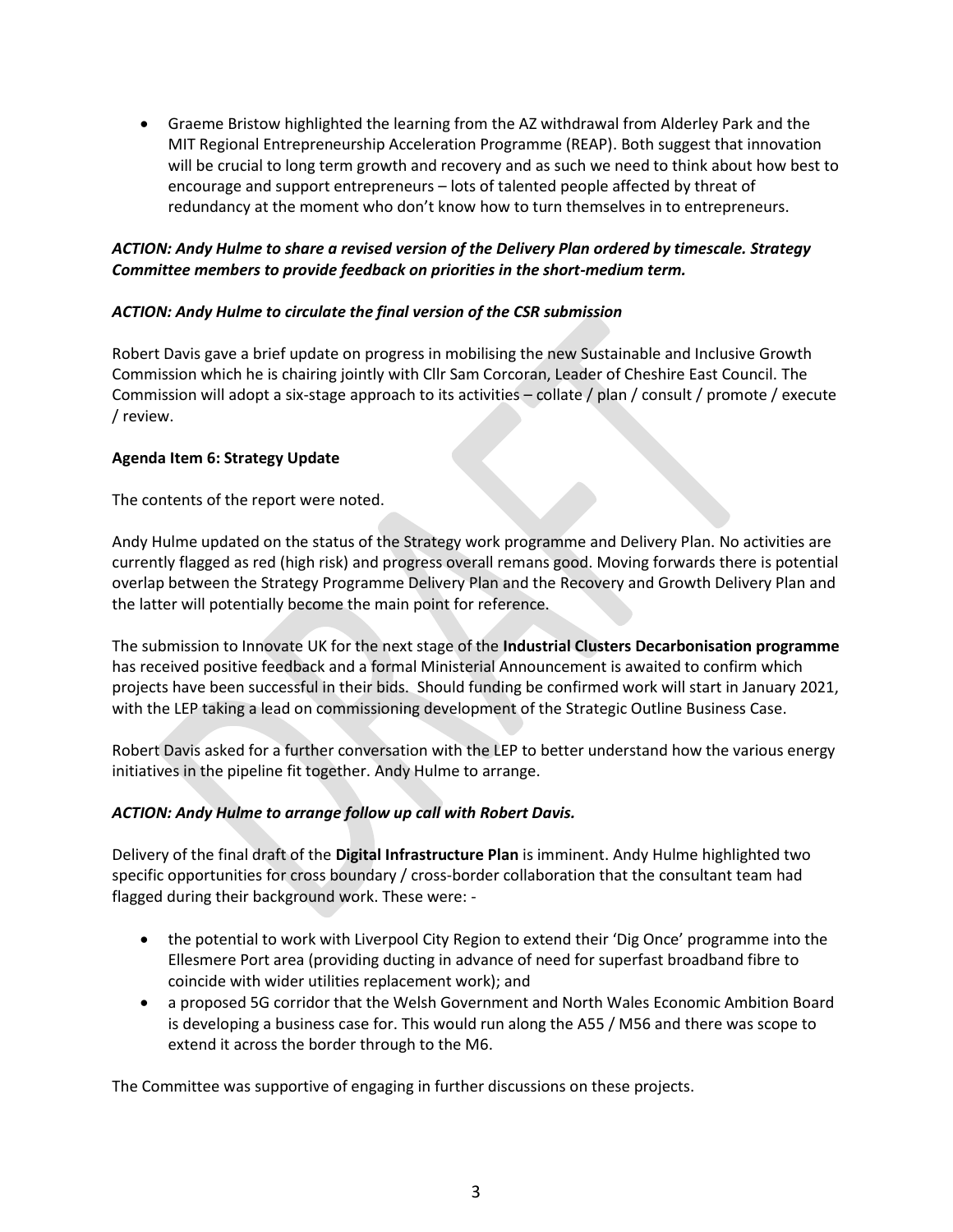• Graeme Bristow highlighted the learning from the AZ withdrawal from Alderley Park and the MIT Regional Entrepreneurship Acceleration Programme (REAP). Both suggest that innovation will be crucial to long term growth and recovery and as such we need to think about how best to encourage and support entrepreneurs – lots of talented people affected by threat of redundancy at the moment who don't know how to turn themselves in to entrepreneurs.

## *ACTION: Andy Hulme to share a revised version of the Delivery Plan ordered by timescale. Strategy Committee members to provide feedback on priorities in the short-medium term.*

## *ACTION: Andy Hulme to circulate the final version of the CSR submission*

Robert Davis gave a brief update on progress in mobilising the new Sustainable and Inclusive Growth Commission which he is chairing jointly with Cllr Sam Corcoran, Leader of Cheshire East Council. The Commission will adopt a six-stage approach to its activities – collate / plan / consult / promote / execute / review.

#### **Agenda Item 6: Strategy Update**

The contents of the report were noted.

Andy Hulme updated on the status of the Strategy work programme and Delivery Plan. No activities are currently flagged as red (high risk) and progress overall remans good. Moving forwards there is potential overlap between the Strategy Programme Delivery Plan and the Recovery and Growth Delivery Plan and the latter will potentially become the main point for reference.

The submission to Innovate UK for the next stage of the **Industrial Clusters Decarbonisation programme** has received positive feedback and a formal Ministerial Announcement is awaited to confirm which projects have been successful in their bids. Should funding be confirmed work will start in January 2021, with the LEP taking a lead on commissioning development of the Strategic Outline Business Case.

Robert Davis asked for a further conversation with the LEP to better understand how the various energy initiatives in the pipeline fit together. Andy Hulme to arrange.

## *ACTION: Andy Hulme to arrange follow up call with Robert Davis.*

Delivery of the final draft of the **Digital Infrastructure Plan** is imminent. Andy Hulme highlighted two specific opportunities for cross boundary / cross-border collaboration that the consultant team had flagged during their background work. These were: -

- the potential to work with Liverpool City Region to extend their 'Dig Once' programme into the Ellesmere Port area (providing ducting in advance of need for superfast broadband fibre to coincide with wider utilities replacement work); and
- a proposed 5G corridor that the Welsh Government and North Wales Economic Ambition Board is developing a business case for. This would run along the A55 / M56 and there was scope to extend it across the border through to the M6.

The Committee was supportive of engaging in further discussions on these projects.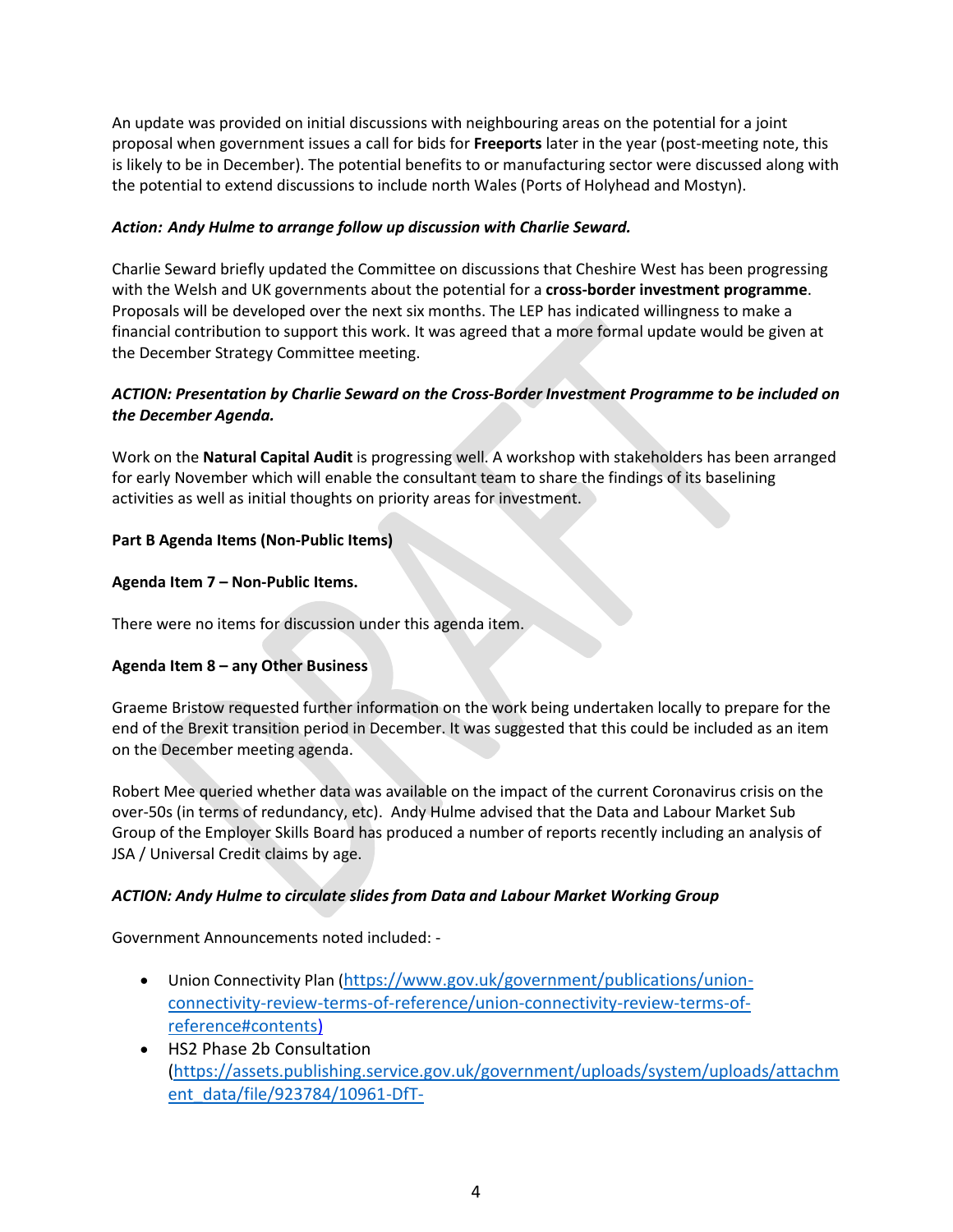An update was provided on initial discussions with neighbouring areas on the potential for a joint proposal when government issues a call for bids for **Freeports** later in the year (post-meeting note, this is likely to be in December). The potential benefits to or manufacturing sector were discussed along with the potential to extend discussions to include north Wales (Ports of Holyhead and Mostyn).

## *Action: Andy Hulme to arrange follow up discussion with Charlie Seward.*

Charlie Seward briefly updated the Committee on discussions that Cheshire West has been progressing with the Welsh and UK governments about the potential for a **cross-border investment programme**. Proposals will be developed over the next six months. The LEP has indicated willingness to make a financial contribution to support this work. It was agreed that a more formal update would be given at the December Strategy Committee meeting.

## *ACTION: Presentation by Charlie Seward on the Cross-Border Investment Programme to be included on the December Agenda.*

Work on the **Natural Capital Audit** is progressing well. A workshop with stakeholders has been arranged for early November which will enable the consultant team to share the findings of its baselining activities as well as initial thoughts on priority areas for investment.

## **Part B Agenda Items (Non-Public Items)**

## **Agenda Item 7 – Non-Public Items.**

There were no items for discussion under this agenda item.

## **Agenda Item 8 – any Other Business**

Graeme Bristow requested further information on the work being undertaken locally to prepare for the end of the Brexit transition period in December. It was suggested that this could be included as an item on the December meeting agenda.

Robert Mee queried whether data was available on the impact of the current Coronavirus crisis on the over-50s (in terms of redundancy, etc). Andy Hulme advised that the Data and Labour Market Sub Group of the Employer Skills Board has produced a number of reports recently including an analysis of JSA / Universal Credit claims by age.

## *ACTION: Andy Hulme to circulate slides from Data and Labour Market Working Group*

Government Announcements noted included: -

- Union Connectivity Plan ([https://www.gov.uk/government/publications/union](https://www.gov.uk/government/publications/union-connectivity-review-terms-of-reference/union-connectivity-review-terms-of-reference#contents)[connectivity-review-terms-of-reference/union-connectivity-review-terms-of](https://www.gov.uk/government/publications/union-connectivity-review-terms-of-reference/union-connectivity-review-terms-of-reference#contents)[reference#contents\)](https://www.gov.uk/government/publications/union-connectivity-review-terms-of-reference/union-connectivity-review-terms-of-reference#contents)
- HS2 Phase 2b Consultation [\(https://assets.publishing.service.gov.uk/government/uploads/system/uploads/attachm](https://assets.publishing.service.gov.uk/government/uploads/system/uploads/attachment_data/file/923784/10961-DfT-HS2_DRC2_Response_Western_Leg_Late_Stage_V10_Accessible.pdf) [ent\\_data/file/923784/10961-DfT-](https://assets.publishing.service.gov.uk/government/uploads/system/uploads/attachment_data/file/923784/10961-DfT-HS2_DRC2_Response_Western_Leg_Late_Stage_V10_Accessible.pdf)